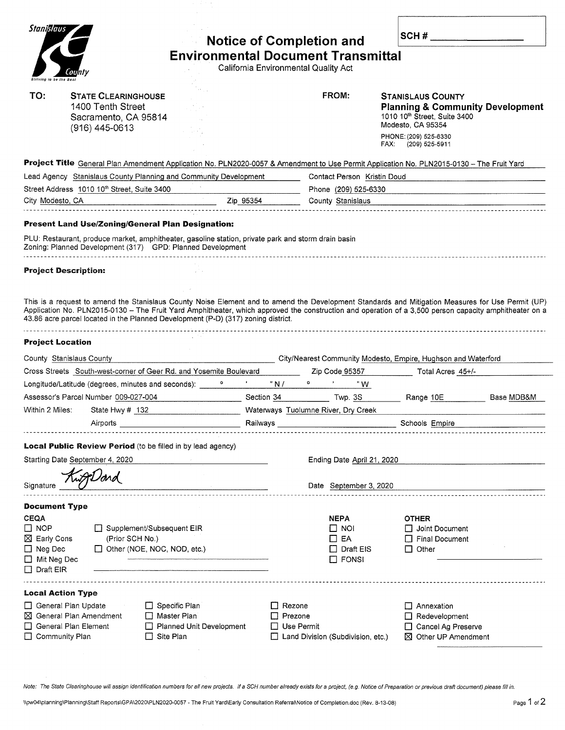| Stanislaus                                                                                |                                                                                                                                                                   |                                                                                                                                                                                                                                |                                                                                        |                                                                                                                                                                              |  |  |
|-------------------------------------------------------------------------------------------|-------------------------------------------------------------------------------------------------------------------------------------------------------------------|--------------------------------------------------------------------------------------------------------------------------------------------------------------------------------------------------------------------------------|----------------------------------------------------------------------------------------|------------------------------------------------------------------------------------------------------------------------------------------------------------------------------|--|--|
|                                                                                           |                                                                                                                                                                   |                                                                                                                                                                                                                                | <b>Notice of Completion and</b>                                                        | SCH $#_$                                                                                                                                                                     |  |  |
|                                                                                           |                                                                                                                                                                   |                                                                                                                                                                                                                                | <b>Environmental Document Transmittal</b>                                              |                                                                                                                                                                              |  |  |
|                                                                                           |                                                                                                                                                                   |                                                                                                                                                                                                                                | California Environmental Quality Act                                                   |                                                                                                                                                                              |  |  |
| triving to be the Best                                                                    |                                                                                                                                                                   |                                                                                                                                                                                                                                |                                                                                        |                                                                                                                                                                              |  |  |
| TO:                                                                                       | <b>STATE CLEARINGHOUSE</b><br>1400 Tenth Street<br>Sacramento, CA 95814<br>(916) 445-0613                                                                         |                                                                                                                                                                                                                                | FROM:                                                                                  | <b>STANISLAUS COUNTY</b><br><b>Planning &amp; Community Development</b><br>1010 10th Street, Suite 3400<br>Modesto, CA 95354<br>PHONE: (209) 525-6330<br>FAX: (209) 525-5911 |  |  |
|                                                                                           |                                                                                                                                                                   |                                                                                                                                                                                                                                |                                                                                        | Project Title General Plan Amendment Application No. PLN2020-0057 & Amendment to Use Permit Application No. PLN2015-0130 - The Fruit Yard                                    |  |  |
|                                                                                           | Lead Agency Stanislaus County Planning and Community Development                                                                                                  |                                                                                                                                                                                                                                | Contact Person Kristin Doud                                                            |                                                                                                                                                                              |  |  |
|                                                                                           | Street Address 1010 10 <sup>th</sup> Street, Suite 3400                                                                                                           |                                                                                                                                                                                                                                | Phone (209) 525-6330                                                                   |                                                                                                                                                                              |  |  |
| City Modesto, CA                                                                          |                                                                                                                                                                   | Zip 95354                                                                                                                                                                                                                      | County Stanislaus                                                                      |                                                                                                                                                                              |  |  |
|                                                                                           | Present Land Use/Zoning/General Plan Designation:                                                                                                                 |                                                                                                                                                                                                                                |                                                                                        |                                                                                                                                                                              |  |  |
|                                                                                           | PLU: Restaurant, produce market, amphitheater, gasoline station, private park and storm drain basin<br>Zoning: Planned Development (317) GPD: Planned Development |                                                                                                                                                                                                                                |                                                                                        |                                                                                                                                                                              |  |  |
| <b>Project Description:</b>                                                               |                                                                                                                                                                   |                                                                                                                                                                                                                                |                                                                                        |                                                                                                                                                                              |  |  |
|                                                                                           |                                                                                                                                                                   |                                                                                                                                                                                                                                |                                                                                        |                                                                                                                                                                              |  |  |
| <b>Project Location</b>                                                                   | County Stanislaus County                                                                                                                                          |                                                                                                                                                                                                                                |                                                                                        | City/Nearest Community Modesto, Empire, Hughson and Waterford                                                                                                                |  |  |
|                                                                                           | Cross Streets South-west-corner of Geer Rd. and Yosemite Boulevard                                                                                                |                                                                                                                                                                                                                                | Zip Code 95357                                                                         | Total Acres 45+/-                                                                                                                                                            |  |  |
|                                                                                           | Longitude/Latitude (degrees, minutes and seconds):                                                                                                                | " N /                                                                                                                                                                                                                          | "W                                                                                     |                                                                                                                                                                              |  |  |
|                                                                                           | Assessor's Parcel Number 009-027-004                                                                                                                              | Section 34                                                                                                                                                                                                                     | Twp. 3S                                                                                | Base MDB&M<br>Range 10E                                                                                                                                                      |  |  |
| Within 2 Miles:                                                                           | State Hwy # 132                                                                                                                                                   |                                                                                                                                                                                                                                | Waterways Tuolumne River, Dry Creek                                                    |                                                                                                                                                                              |  |  |
|                                                                                           | Airports in the contract of the contract of the contract of the contract of the contract of the contract of the                                                   |                                                                                                                                                                                                                                | <b>Railways Railways</b>                                                               | Schools Empire                                                                                                                                                               |  |  |
|                                                                                           | Local Public Review Period (to be filled in by lead agency)                                                                                                       |                                                                                                                                                                                                                                |                                                                                        |                                                                                                                                                                              |  |  |
|                                                                                           | Starting Date September 4, 2020                                                                                                                                   |                                                                                                                                                                                                                                | Ending Date April 21, 2020                                                             |                                                                                                                                                                              |  |  |
|                                                                                           |                                                                                                                                                                   |                                                                                                                                                                                                                                |                                                                                        |                                                                                                                                                                              |  |  |
| Signature                                                                                 |                                                                                                                                                                   | and the second control of the second control of the second control of the second control of the second control of the second control of the second control of the second control of the second control of the second control o | Date September 3, 2020                                                                 |                                                                                                                                                                              |  |  |
| <b>Document Type</b>                                                                      |                                                                                                                                                                   |                                                                                                                                                                                                                                |                                                                                        |                                                                                                                                                                              |  |  |
| <b>CEQA</b><br>$\square$ NOP<br>$\boxtimes$ Early Cons<br>$\Box$ Neg Dec<br>□ Mit Neg Dec | Supplement/Subsequent EIR<br>(Prior SCH No.)<br>$\Box$ Other (NOE, NOC, NOD, etc.)                                                                                |                                                                                                                                                                                                                                | <b>NEPA</b><br>$\Box$ Noi<br>$\Box$ EA<br>Draft EIS<br>$\mathbf{1}$<br>$\square$ FONSI | <b>OTHER</b><br>$\Box$ Joint Document<br>$\Box$ Final Document<br>$\Box$ Other                                                                                               |  |  |
| $\Box$ Draft EIR                                                                          |                                                                                                                                                                   |                                                                                                                                                                                                                                |                                                                                        |                                                                                                                                                                              |  |  |
| <b>Local Action Type</b>                                                                  |                                                                                                                                                                   |                                                                                                                                                                                                                                |                                                                                        |                                                                                                                                                                              |  |  |
| General Plan Update                                                                       | $\Box$ Specific Plan                                                                                                                                              |                                                                                                                                                                                                                                | $\Box$ Rezone                                                                          | $\Box$ Annexation                                                                                                                                                            |  |  |
|                                                                                           | $\boxtimes$ General Plan Amendment<br>□ Master Plan                                                                                                               |                                                                                                                                                                                                                                | $\Box$ Prezone                                                                         | $\Box$ Redevelopment                                                                                                                                                         |  |  |
|                                                                                           | General Plan Element                                                                                                                                              | Planned Unit Development                                                                                                                                                                                                       | Use Permit                                                                             | Cancel Ag Preserve                                                                                                                                                           |  |  |
| □ Community Plan                                                                          | $\Box$ Site Plan                                                                                                                                                  |                                                                                                                                                                                                                                | Land Division (Subdivision, etc.)                                                      | $\boxtimes$ Other UP Amendment                                                                                                                                               |  |  |
|                                                                                           |                                                                                                                                                                   |                                                                                                                                                                                                                                |                                                                                        |                                                                                                                                                                              |  |  |

Note: The State Clearinghouse will assign identification numbers for all new projects. If a SCH number already exists for a project, (e.g. Notice of Preparation or previous draft document) please fill in.